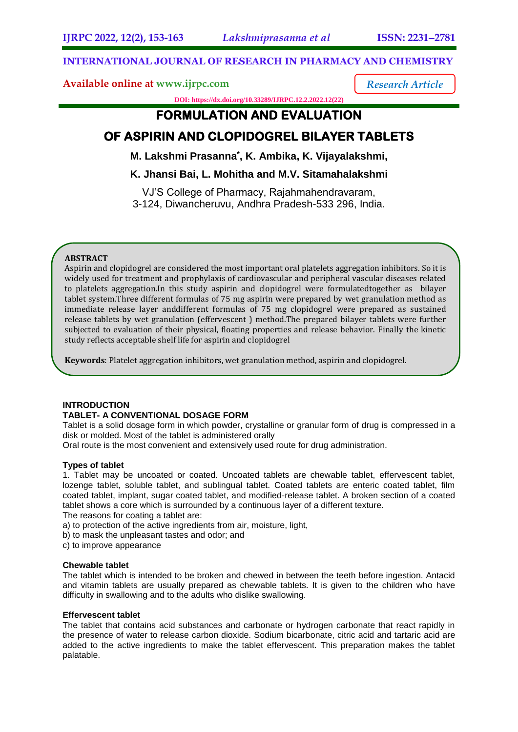*Research Article*

# **INTERNATIONAL JOURNAL OF RESEARCH IN PHARMACY AND CHEMISTRY**

# **Available online at [www.ijrpc.com](http://www.ijrpc.com/)**

**DOI: https://dx.doi.org/10.33289/IJRPC.12.2.2022.12(22)** 

# **FORMULATION AND EVALUATION**

# **OF ASPIRIN AND CLOPIDOGREL BILAYER TABLETS**

**M. Lakshmi Prasanna\* , K. Ambika, K. Vijayalakshmi,**

**K. Jhansi Bai, L. Mohitha and M.V. Sitamahalakshmi**

VJ'S College of Pharmacy, Rajahmahendravaram, 3-124, Diwancheruvu, Andhra Pradesh-533 296, India.

# **ABSTRACT**

Aspirin and clopidogrel are considered the most important oral platelets aggregation inhibitors. So it is widely used for treatment and prophylaxis of cardiovascular and peripheral vascular diseases related to platelets aggregation.In this study aspirin and clopidogrel were formulatedtogether as bilayer tablet system.Three different formulas of 75 mg aspirin were prepared by wet granulation method as immediate release layer anddifferent formulas of 75 mg clopidogrel were prepared as sustained release tablets by wet granulation (effervescent ) method.The prepared bilayer tablets were further subjected to evaluation of their physical, floating properties and release behavior. Finally the kinetic study reflects acceptable shelf life for aspirin and clopidogrel

**Keywords**: Platelet aggregation inhibitors, wet granulation method, aspirin and clopidogrel.

# **INTRODUCTION**

# **TABLET- A CONVENTIONAL DOSAGE FORM**

Tablet is a solid dosage form in which powder, crystalline or granular form of drug is compressed in a disk or molded. Most of the tablet is administered orally

Oral route is the most convenient and extensively used route for drug administration.

# **Types of tablet**

1. Tablet may be uncoated or coated. Uncoated tablets are chewable tablet, effervescent tablet, lozenge tablet, soluble tablet, and sublingual tablet. Coated tablets are enteric coated tablet, film coated tablet, implant, sugar coated tablet, and modified-release tablet. A broken section of a coated tablet shows a core which is surrounded by a continuous layer of a different texture.

The reasons for coating a tablet are:

a) to protection of the active ingredients from air, moisture, light,

b) to mask the unpleasant tastes and odor; and

c) to improve appearance

# **Chewable tablet**

The tablet which is intended to be broken and chewed in between the teeth before ingestion. Antacid and vitamin tablets are usually prepared as chewable tablets. It is given to the children who have difficulty in swallowing and to the adults who dislike swallowing.

# **Effervescent tablet**

The tablet that contains acid substances and carbonate or hydrogen carbonate that react rapidly in the presence of water to release carbon dioxide. Sodium bicarbonate, citric acid and tartaric acid are added to the active ingredients to make the tablet effervescent. This preparation makes the tablet palatable.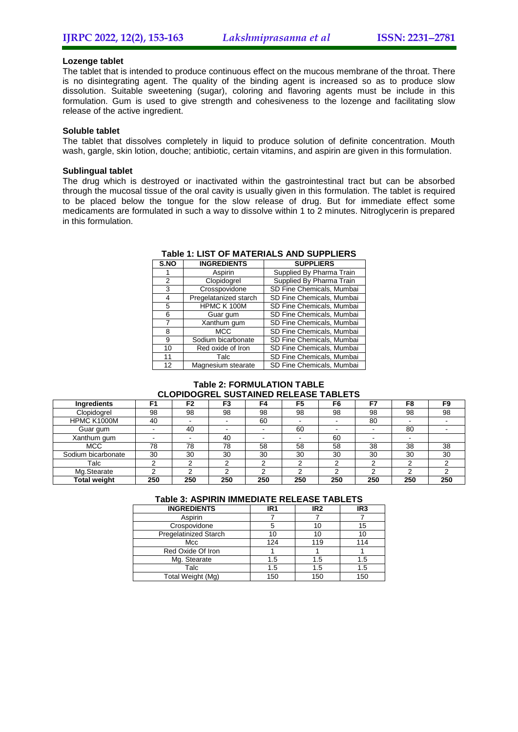# **Lozenge tablet**

The tablet that is intended to produce continuous effect on the mucous membrane of the throat. There is no disintegrating agent. The quality of the binding agent is increased so as to produce slow dissolution. Suitable sweetening (sugar), coloring and flavoring agents must be include in this formulation. Gum is used to give strength and cohesiveness to the lozenge and facilitating slow release of the active ingredient.

### **Soluble tablet**

The tablet that dissolves completely in liquid to produce solution of definite concentration. Mouth wash, gargle, skin lotion, douche; antibiotic, certain vitamins, and aspirin are given in this formulation.

### **Sublingual tablet**

The drug which is destroyed or inactivated within the gastrointestinal tract but can be absorbed through the mucosal tissue of the oral cavity is usually given in this formulation. The tablet is required to be placed below the tongue for the slow release of drug. But for immediate effect some medicaments are formulated in such a way to dissolve within 1 to 2 minutes. Nitroglycerin is prepared in this formulation.

| S.NO | <b>INGREDIENTS</b>    | <b>SUPPLIERS</b>          |
|------|-----------------------|---------------------------|
|      | Aspirin               | Supplied By Pharma Train  |
| 2    | Clopidogrel           | Supplied By Pharma Train  |
| 3    | Crosspovidone         | SD Fine Chemicals, Mumbai |
| 4    | Pregelatanized starch | SD Fine Chemicals, Mumbai |
| 5    | HPMC K 100M           | SD Fine Chemicals, Mumbai |
| 6    | Guar gum              | SD Fine Chemicals, Mumbai |
| 7    | Xanthum gum           | SD Fine Chemicals, Mumbai |
| 8    | <b>MCC</b>            | SD Fine Chemicals, Mumbai |
| 9    | Sodium bicarbonate    | SD Fine Chemicals, Mumbai |
| 10   | Red oxide of Iron     | SD Fine Chemicals, Mumbai |
| 11   | Talc                  | SD Fine Chemicals, Mumbai |
| 12   | Magnesium stearate    | SD Fine Chemicals, Mumbai |

### **Table 1: LIST OF MATERIALS AND SUPPLIERS**

### **Table 2: FORMULATION TABLE CLOPIDOGREL SUSTAINED RELEASE TABLETS**

| Ingredients         | F1     | F <sub>2</sub> | F3                       | F4  | F <sub>5</sub> | F6     | F7  | F8  | F9  |
|---------------------|--------|----------------|--------------------------|-----|----------------|--------|-----|-----|-----|
| Clopidogrel         | 98     | 98             | 98                       | 98  | 98             | 98     | 98  | 98  | 98  |
| HPMC K1000M         | 40     |                | $\overline{\phantom{0}}$ | 60  |                | $\sim$ | 80  |     |     |
| Guar gum            |        | 40             |                          |     | 60             |        |     | 80  |     |
| Xanthum gum         | $\sim$ |                | 40                       |     |                | 60     |     |     |     |
| <b>MCC</b>          | 78     | 78             | 78                       | 58  | 58             | 58     | 38  | 38  | 38  |
| Sodium bicarbonate  | 30     | 30             | 30                       | 30  | 30             | 30     | 30  | 30  | 30  |
| Talc                |        | ⌒              |                          | C   |                | $\sim$ | ົ   |     |     |
| Mg.Stearate         |        |                |                          | ◠   |                | ⌒      | ⌒   |     |     |
| <b>Total weight</b> | 250    | 250            | 250                      | 250 | 250            | 250    | 250 | 250 | 250 |

# **Table 3: ASPIRIN IMMEDIATE RELEASE TABLETS**

| <b>INGREDIENTS</b>           | IR <sub>1</sub> | IR <sub>2</sub> | IR <sub>3</sub> |
|------------------------------|-----------------|-----------------|-----------------|
| Aspirin                      |                 |                 |                 |
| Crospovidone                 |                 | 10              | 15              |
| <b>Pregelatinized Starch</b> |                 | 10              | 10              |
| Mcc                          | 124             | 119             | 114             |
| Red Oxide Of Iron            |                 |                 |                 |
| Mg. Stearate                 | 1.5             | 1.5             | 1.5             |
| Talc                         | 1.5             | 1.5             | 1.5             |
| Total Weight (Mg)            | 150             | 150             | 150             |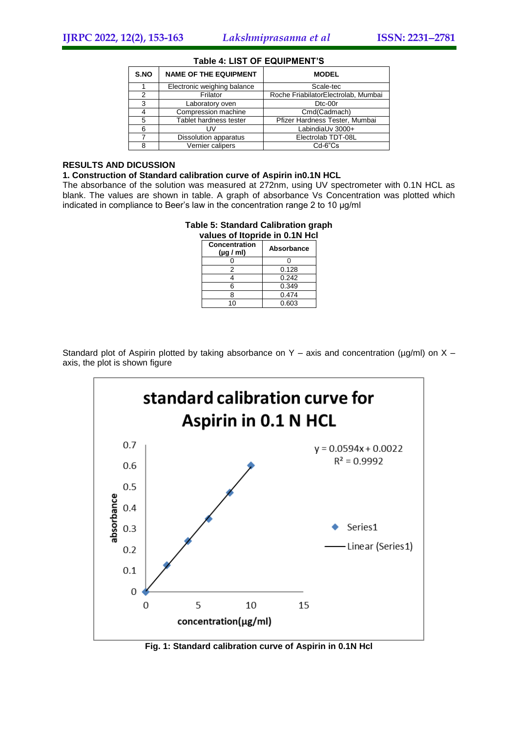| S.NO | <b>NAME OF THE EQUIPMENT</b> | <b>MODEL</b>                        |
|------|------------------------------|-------------------------------------|
|      | Electronic weighing balance  | Scale-tec                           |
| 2    | Frilator                     | Roche FriabilatorElectrolab, Mumbai |
| 3    | Laboratory oven              | D <sub>tc</sub> -00r                |
|      | Compression machine          | Cmd(Cadmach)                        |
| 5    | Tablet hardness tester       | Pfizer Hardness Tester, Mumbai      |
| 6    | UV                           | LabindiaUv 3000+                    |
|      | Dissolution apparatus        | Electrolab TDT-08L                  |
| 8    | Vernier calipers             | $Cd-6"Cs$                           |

### **Table 4: LIST OF EQUIPMENT'S**

# **RESULTS AND DICUSSION**

### **1. Construction of Standard calibration curve of Aspirin in0.1N HCL**

The absorbance of the solution was measured at 272nm, using UV spectrometer with 0.1N HCL as blank. The values are shown in table. A graph of absorbance Vs Concentration was plotted which indicated in compliance to Beer's law in the concentration range 2 to 10 µg/ml

#### **Table 5: Standard Calibration graph values of Itopride in 0.1N Hcl**

| Concentration<br>$(\mu g / \text{ml})$ | <b>Absorbance</b> |
|----------------------------------------|-------------------|
|                                        |                   |
| 2                                      | 0.128             |
|                                        | 0.242             |
| հ                                      | 0.349             |
| R                                      | 0.474             |
| 10                                     | 0.603             |

Standard plot of Aspirin plotted by taking absorbance on Y – axis and concentration ( $\mu$ g/ml) on X – axis, the plot is shown figure



**Fig. 1: Standard calibration curve of Aspirin in 0.1N Hcl**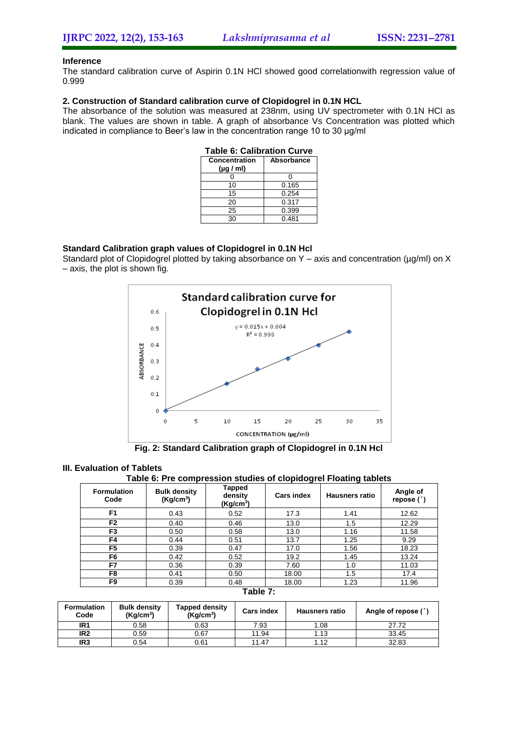# **Inference**

The standard calibration curve of Aspirin 0.1N HCl showed good correlationwith regression value of 0.999

# **2. Construction of Standard calibration curve of Clopidogrel in 0.1N HCL**

The absorbance of the solution was measured at 238nm, using UV spectrometer with 0.1N HCl as blank. The values are shown in table. A graph of absorbance Vs Concentration was plotted which indicated in compliance to Beer's law in the concentration range 10 to 30 µg/ml

| <b>Table 6: Calibration Curve</b> |            |
|-----------------------------------|------------|
| <b>Concentration</b>              | Absorbance |
| $(\mu g / \text{ml})$             |            |
|                                   | n          |
| 10                                | 0.165      |
| 15                                | 0.254      |
| 20                                | 0.317      |
| 25                                | 0.399      |
| 30                                | 0.481      |

### **Standard Calibration graph values of Clopidogrel in 0.1N Hcl**

Standard plot of Clopidogrel plotted by taking absorbance on Y – axis and concentration ( $\mu$ g/ml) on X – axis, the plot is shown fig.



**Fig. 2: Standard Calibration graph of Clopidogrel in 0.1N Hcl**

### **III. Evaluation of Tablets**

# **Table 6: Pre compression studies of clopidogrel Floating tablets**

| <b>Formulation</b><br>Code | <b>Bulk density</b><br>(Kg/cm <sup>3</sup> ) | <b>Tapped</b><br>density<br>(Kg/cm <sup>3</sup> ) | <b>Cars index</b> | <b>Hausners ratio</b> | Angle of<br>repose $(°)$ |
|----------------------------|----------------------------------------------|---------------------------------------------------|-------------------|-----------------------|--------------------------|
| F <sub>1</sub>             | 0.43                                         | 0.52                                              | 17.3              | 1.41                  | 12.62                    |
| F <sub>2</sub>             | 0.40                                         | 0.46                                              | 13.0              | 1.5                   | 12.29                    |
| F <sub>3</sub>             | 0.50                                         | 0.58                                              | 13.0              | 1.16                  | 11.58                    |
| F4                         | 0.44                                         | 0.51                                              | 13.7              | 1.25                  | 9.29                     |
| F5                         | 0.39                                         | 0.47                                              | 17.0              | 1.56                  | 18.23                    |
| F6                         | 0.42                                         | 0.52                                              | 19.2              | 1.45                  | 13.24                    |
| F7                         | 0.36                                         | 0.39                                              | 7.60              | 1.0                   | 11.03                    |
| F8                         | 0.41                                         | 0.50                                              | 18.00             | 1.5                   | 17.4                     |
| F9                         | 0.39                                         | 0.48                                              | 18.00             | 1.23                  | 11.96                    |

# **Table 7:**

| <b>Formulation</b><br>Code | <b>Bulk density</b><br>(Kq/cm <sup>3</sup> ) | Tapped density<br>(Kq/cm <sup>3</sup> ) | <b>Cars index</b> | <b>Hausners ratio</b> | Angle of repose (°) |
|----------------------------|----------------------------------------------|-----------------------------------------|-------------------|-----------------------|---------------------|
| IR <sub>1</sub>            | 0.58                                         | 0.63                                    | 7.93              | .08                   | 27.72               |
| IR <sub>2</sub>            | 0.59                                         | 0.67                                    | 11.94             | 13،،                  | 33.45               |
| IR <sub>3</sub>            | 0.54                                         | 0.61                                    | 11.47             | . 12                  | 32.83               |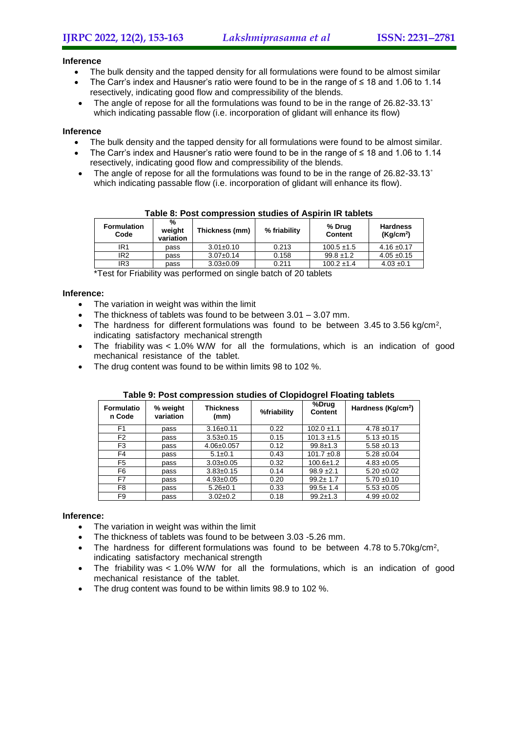### **Inference**

- The bulk density and the tapped density for all formulations were found to be almost similar
- The Carr's index and Hausner's ratio were found to be in the range of ≤ 18 and 1.06 to 1.14 resectively, indicating good flow and compressibility of the blends.
- The angle of repose for all the formulations was found to be in the range of 26.82-33.13° which indicating passable flow (i.e. incorporation of glidant will enhance its flow)

# **Inference**

- The bulk density and the tapped density for all formulations were found to be almost similar.
- The Carr's index and Hausner's ratio were found to be in the range of ≤ 18 and 1.06 to 1.14 resectively, indicating good flow and compressibility of the blends.
- The angle of repose for all the formulations was found to be in the range of 26.82-33.13° which indicating passable flow (i.e. incorporation of glidant will enhance its flow).

| <b>Formulation</b><br>Code | %<br>weight<br>variation | Thickness (mm)  | % friability | % Drug<br><b>Content</b> | <b>Hardness</b><br>(Kq/cm <sup>2</sup> ) |
|----------------------------|--------------------------|-----------------|--------------|--------------------------|------------------------------------------|
| IR1                        | pass                     | $3.01 \pm 0.10$ | 0.213        | $100.5 \pm 1.5$          | $4.16 \pm 0.17$                          |
| IR <sub>2</sub>            | pass                     | $3.07 \pm 0.14$ | 0.158        | $99.8 \pm 1.2$           | $4.05 \pm 0.15$                          |
| IR <sub>3</sub>            | pass                     | $3.03 \pm 0.09$ | 0.211        | $100.2 \pm 1.4$          | $4.03 \pm 0.1$                           |

**Table 8: Post compression studies of Aspirin IR tablets**

\*Test for Friability was performed on single batch of 20 tablets

# **Inference:**

- The variation in weight was within the limit
- The thickness of tablets was found to be between 3.01 3.07 mm.
- The hardness for different formulations was found to be between  $3.45$  to  $3.56$  kg/cm<sup>2</sup>, indicating satisfactory mechanical strength
- The friability was < 1.0% W/W for all the formulations, which is an indication of good mechanical resistance of the tablet.
- The drug content was found to be within limits 98 to 102 %.

| <b>Formulatio</b><br>n Code | % weight<br>variation | <b>Thickness</b><br>(mm) | %friability | %Drug<br><b>Content</b> | Hardness (Kg/cm <sup>2</sup> ) |
|-----------------------------|-----------------------|--------------------------|-------------|-------------------------|--------------------------------|
| F <sub>1</sub>              | pass                  | $3.16 \pm 0.11$          | 0.22        | $102.0 \pm 1.1$         | $4.78 + 0.17$                  |
| F <sub>2</sub>              | pass                  | $3.53 \pm 0.15$          | 0.15        | $101.3 \pm 1.5$         | $5.13 \pm 0.15$                |
| F3                          | pass                  | $4.06 \pm 0.057$         | 0.12        | $99.8 \pm 1.3$          | $5.58 + 0.13$                  |
| F4                          | pass                  | $5.1 \pm 0.1$            | 0.43        | $101.7 \pm 0.8$         | $5.28 \pm 0.04$                |
| F5                          | pass                  | $3.03 \pm 0.05$          | 0.32        | $100.6 \pm 1.2$         | $4.83 + 0.05$                  |
| F6                          | pass                  | $3.83 \pm 0.15$          | 0.14        | $98.9 \pm 2.1$          | $5.20 \pm 0.02$                |
| F7                          | pass                  | $4.93 \pm 0.05$          | 0.20        | $99.2 \pm 1.7$          | $5.70 \pm 0.10$                |
| F8                          | pass                  | $5.26 \pm 0.1$           | 0.33        | $99.5 \pm 1.4$          | $5.53 + 0.05$                  |
| F9                          | pass                  | $3.02 \pm 0.2$           | 0.18        | $99.2 \pm 1.3$          | $4.99 + 0.02$                  |

# **Table 9: Post compression studies of Clopidogrel Floating tablets**

# **Inference:**

- The variation in weight was within the limit
- The thickness of tablets was found to be between 3.03 -5.26 mm.
- The hardness for different formulations was found to be between  $4.78$  to  $5.70$ kg/cm<sup>2</sup>, indicating satisfactory mechanical strength
- The friability was < 1.0% W/W for all the formulations, which is an indication of good mechanical resistance of the tablet.
- The drug content was found to be within limits 98.9 to 102 %.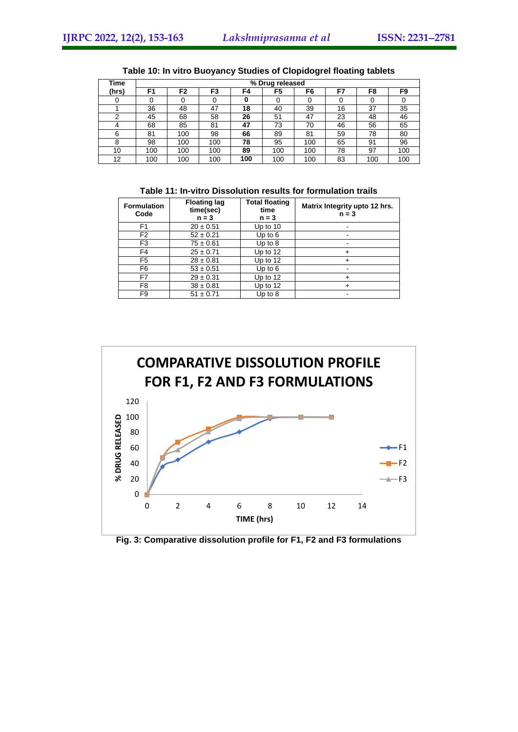| <b>Time</b> |     |     |     |     | % Drug released |     |    |     |     |
|-------------|-----|-----|-----|-----|-----------------|-----|----|-----|-----|
| (hrs)       | F1  | F2  | F3  | F4  | F5              | F6  | F7 | F8  | F9  |
|             |     |     |     | 0   |                 |     |    |     |     |
|             | 36  | 48  | 47  | 18  | 40              | 39  | 16 | 37  | 35  |
| ⌒           | 45  | 68  | 58  | 26  | 51              | 47  | 23 | 48  | 46  |
| 4           | 68  | 85  | 81  | 47  | 73              | 70  | 46 | 56  | 65  |
| 6           | 81  | 100 | 98  | 66  | 89              | 81  | 59 | 78  | 80  |
| 8           | 98  | 100 | 100 | 78  | 95              | 100 | 65 | 91  | 96  |
| 10          | 100 | 100 | 100 | 89  | 100             | 100 | 78 | 97  | 100 |
| 12          | 100 | 100 | 100 | 100 | 100             | 100 | 83 | 100 | 100 |

| Table 10: In vitro Buoyancy Studies of Clopidogrel floating tablets |
|---------------------------------------------------------------------|
|---------------------------------------------------------------------|

# **Table 11: In-vitro Dissolution results for formulation trails**

| <b>Formulation</b><br>Code | <b>Floating lag</b><br>time(sec)<br>$n = 3$ | <b>Total floating</b><br>time<br>$n = 3$ | Matrix Integrity upto 12 hrs.<br>$n = 3$ |  |
|----------------------------|---------------------------------------------|------------------------------------------|------------------------------------------|--|
| F <sub>1</sub>             | $20 \pm 0.51$                               | Up to $10$                               |                                          |  |
| F <sub>2</sub>             | $52 \pm 0.21$                               | Up to $6$                                |                                          |  |
| F <sub>3</sub>             | $75 \pm 0.61$                               | Up to $8$                                |                                          |  |
| F <sub>4</sub>             | $25 \pm 0.71$                               | Up to 12                                 |                                          |  |
| F <sub>5</sub>             | $28 \pm 0.81$                               | Up to 12                                 |                                          |  |
| F6                         | $53 \pm 0.51$                               | Up to $6$                                |                                          |  |
| F7                         | $29 \pm 0.31$                               | Up to $12$                               |                                          |  |
| F <sub>8</sub>             | $38 \pm 0.81$                               | Up to 12                                 |                                          |  |
| F9                         | $51 \pm 0.71$                               | Up to $8$                                |                                          |  |



# **Fig. 3: Comparative dissolution profile for F1, F2 and F3 formulations**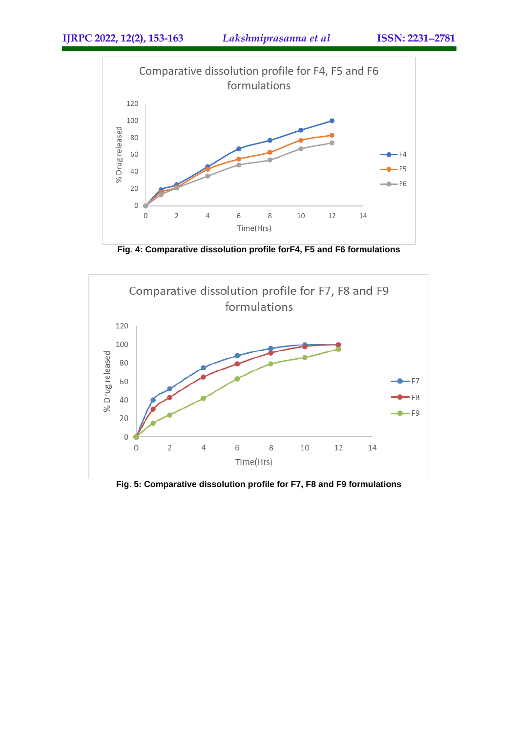

**Fig**. **4: Comparative dissolution profile forF4, F5 and F6 formulations**



**Fig**. **5: Comparative dissolution profile for F7, F8 and F9 formulations**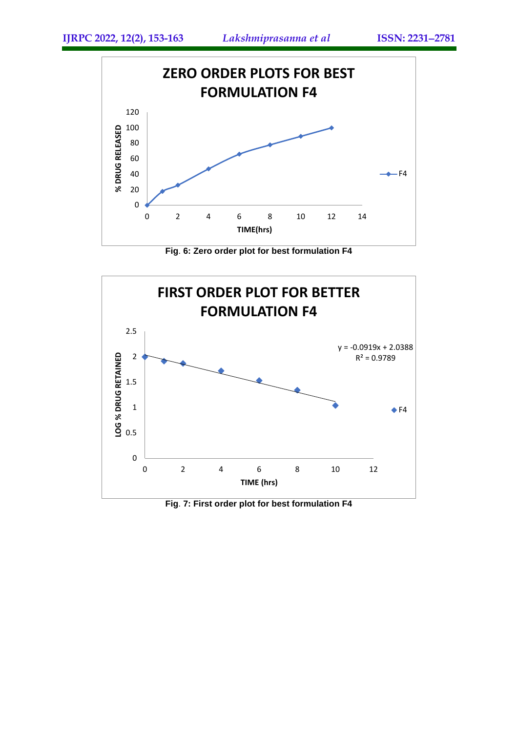

**Fig**. **6: Zero order plot for best formulation F4**



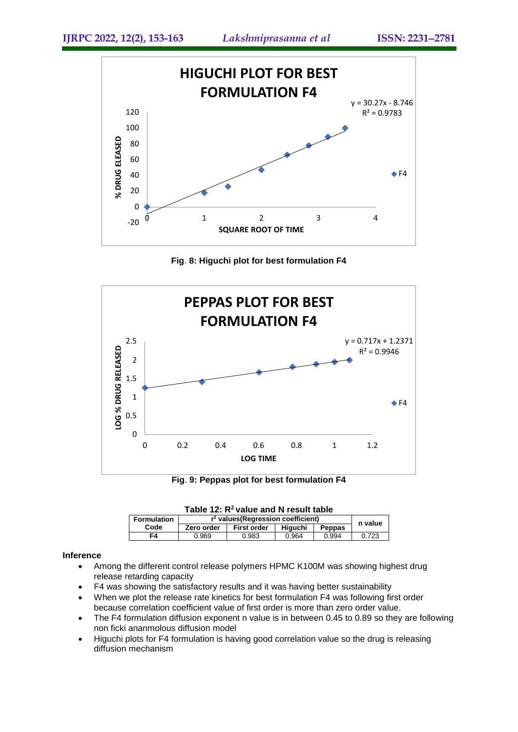

**Fig**. **8: Higuchi plot for best formulation F4**



**Fig**. **9: Peppas plot for best formulation F4**

| Table 12: $R^2$ value and N result table |                                      |                    |         |               |       |  |  |  |
|------------------------------------------|--------------------------------------|--------------------|---------|---------------|-------|--|--|--|
| Formulation                              | $r2$ values (Regression coefficient) | n value            |         |               |       |  |  |  |
| Code                                     | Zero order                           | <b>First order</b> | Hiauchi | <b>Peppas</b> |       |  |  |  |
| F4                                       | 0.969                                | 0.983              | 0.964   | 0.994         | 0.723 |  |  |  |

# **Inference**

- Among the different control release polymers HPMC K100M was showing highest drug release retarding capacity
- F4 was showing the satisfactory results and it was having better sustainability
- When we plot the release rate kinetics for best formulation F4 was following first order because correlation coefficient value of first order is more than zero order value.
- The F4 formulation diffusion exponent n value is in between 0.45 to 0.89 so they are following non ficki ananmolous diffusion model
- Higuchi plots for F4 formulation is having good correlation value so the drug is releasing diffusion mechanism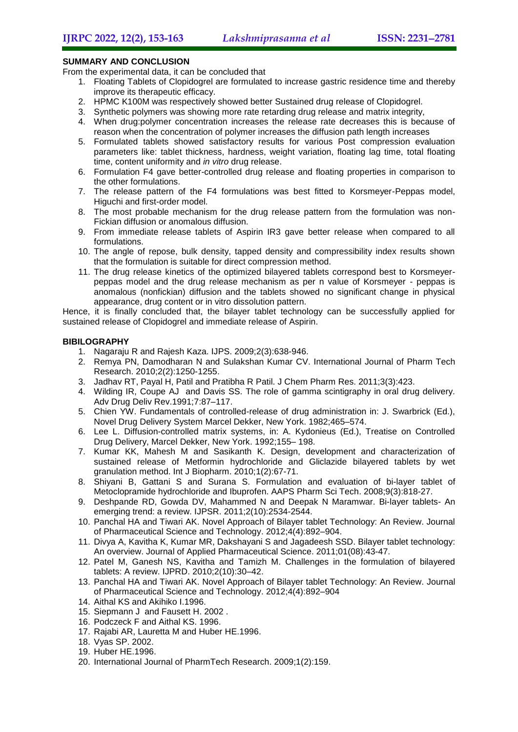# **SUMMARY AND CONCLUSION**

From the experimental data, it can be concluded that

- 1. Floating Tablets of Clopidogrel are formulated to increase gastric residence time and thereby improve its therapeutic efficacy.
- 2. HPMC K100M was respectively showed better Sustained drug release of Clopidogrel.
- 3. Synthetic polymers was showing more rate retarding drug release and matrix integrity,
- 4. When drug:polymer concentration increases the release rate decreases this is because of reason when the concentration of polymer increases the diffusion path length increases
- 5. Formulated tablets showed satisfactory results for various Post compression evaluation parameters like: tablet thickness, hardness, weight variation, floating lag time, total floating time, content uniformity and *in vitro* drug release.
- 6. Formulation F4 gave better-controlled drug release and floating properties in comparison to the other formulations.
- 7. The release pattern of the F4 formulations was best fitted to Korsmeyer-Peppas model, Higuchi and first-order model.
- 8. The most probable mechanism for the drug release pattern from the formulation was non-Fickian diffusion or anomalous diffusion.
- 9. From immediate release tablets of Aspirin IR3 gave better release when compared to all formulations.
- 10. The angle of repose, bulk density, tapped density and compressibility index results shown that the formulation is suitable for direct compression method.
- 11. The drug release kinetics of the optimized bilayered tablets correspond best to Korsmeyerpeppas model and the drug release mechanism as per n value of Korsmeyer - peppas is anomalous (nonfickian) diffusion and the tablets showed no significant change in physical appearance, drug content or in vitro dissolution pattern.

Hence, it is finally concluded that, the bilayer tablet technology can be successfully applied for sustained release of Clopidogrel and immediate release of Aspirin.

# **BIBILOGRAPHY**

- 1. Nagaraju R and Rajesh Kaza. IJPS. 2009;2(3):638-946.
- 2. Remya PN, Damodharan N and Sulakshan Kumar CV. International Journal of Pharm Tech Research. 2010;2(2):1250-1255.
- 3. Jadhav RT, Payal H, Patil and Pratibha R Patil. J Chem Pharm Res. 2011;3(3):423.
- 4. Wilding IR, Coupe AJ and Davis SS. The role of gamma scintigraphy in oral drug delivery. Adv Drug Deliv Rev.1991;7:87–117.
- 5. Chien YW. Fundamentals of controlled-release of drug administration in: J. Swarbrick (Ed.), Novel Drug Delivery System Marcel Dekker, New York. 1982;465–574.
- 6. Lee L. Diffusion-controlled matrix systems, in: A. Kydonieus (Ed.), Treatise on Controlled Drug Delivery, Marcel Dekker, New York. 1992;155– 198.
- 7. Kumar KK, Mahesh M and Sasikanth K. Design, development and characterization of sustained release of Metformin hydrochloride and Gliclazide bilayered tablets by wet granulation method. Int J Biopharm. 2010;1(2):67-71.
- 8. Shiyani B, Gattani S and Surana S. Formulation and evaluation of bi-layer tablet of Metoclopramide hydrochloride and Ibuprofen. AAPS Pharm Sci Tech. 2008;9(3):818-27.
- 9. Deshpande RD, Gowda DV, Mahammed N and Deepak N Maramwar. Bi-layer tablets- An emerging trend: a review. IJPSR. 2011;2(10):2534-2544.
- 10. Panchal HA and Tiwari AK. Novel Approach of Bilayer tablet Technology: An Review. Journal of Pharmaceutical Science and Technology. 2012;4(4):892–904.
- 11. Divya A, Kavitha K, Kumar MR, Dakshayani S and Jagadeesh SSD. Bilayer tablet technology: An overview. Journal of Applied Pharmaceutical Science. 2011;01(08):43-47.
- 12. Patel M, Ganesh NS, Kavitha and Tamizh M. Challenges in the formulation of bilayered tablets: A review. IJPRD. 2010;2(10):30–42.
- 13. Panchal HA and Tiwari AK. Novel Approach of Bilayer tablet Technology: An Review. Journal of Pharmaceutical Science and Technology. 2012;4(4):892–904
- 14. Aithal KS and Akihiko I.1996.
- 15. Siepmann J and Fausett H. 2002 .
- 16. Podczeck F and Aithal KS. 1996.
- 17. Rajabi AR, Lauretta M and Huber HE.1996.
- 18. Vyas SP. 2002.
- 19. Huber HE.1996.
- 20. International Journal of PharmTech Research. 2009;1(2):159.